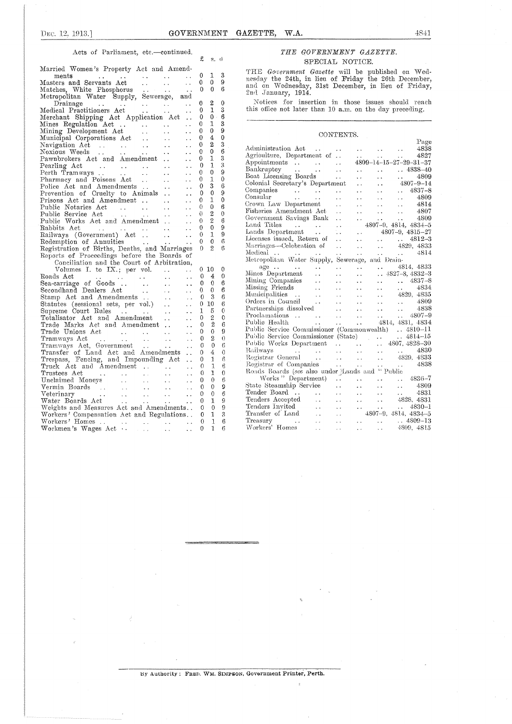#### Acts of Parliament, etc.—continued.

|                                                                                                                                                                                                                                                        | £            | S.             | t1             |
|--------------------------------------------------------------------------------------------------------------------------------------------------------------------------------------------------------------------------------------------------------|--------------|----------------|----------------|
| Married Women's Property Act and Amend-                                                                                                                                                                                                                |              |                |                |
|                                                                                                                                                                                                                                                        | 0            | 1              | 3              |
| ments<br>Masters and Servants Act<br>Matches, White Phosphorus<br>Metropolitan Water Supply, Sewerage, and<br>Drainage                                                                                                                                 | 0            | 0              | 9              |
|                                                                                                                                                                                                                                                        | 0            | 0              | 6              |
|                                                                                                                                                                                                                                                        |              |                |                |
|                                                                                                                                                                                                                                                        | 0            | 2              | 0              |
| Drainage<br>Medical Practitioners Act<br>Merchant Shipping Act Application Act<br>Microsoft Act Application Act                                                                                                                                        | 0            | $\mathbf{I}$   | 3              |
|                                                                                                                                                                                                                                                        | 0            | $0$ .          | 6              |
| i.                                                                                                                                                                                                                                                     | 0            | 1              | 3              |
| $\ddot{\phantom{1}}$                                                                                                                                                                                                                                   | 0            | 0              | 9              |
| $\ddot{\phantom{0}}$                                                                                                                                                                                                                                   | 0            | 4              | 0              |
| $\sim 10^{-1}$<br>. .                                                                                                                                                                                                                                  | 0            | 2              | 3              |
| $\sim 10^{-1}$<br>$\ddot{\phantom{0}}$                                                                                                                                                                                                                 | 0            | 0              | 6              |
| . .                                                                                                                                                                                                                                                    | 0            | ı              | 3              |
| $\ddot{\phantom{a}}$                                                                                                                                                                                                                                   | 0            | 1              | 3              |
| Pearling Act<br>Perth Tramways<br>Pharmacy and Poisons Act<br>Police Act and Amendments<br><br>$\ddot{\phantom{1}}$                                                                                                                                    | 0            | 0              | 9              |
| . .                                                                                                                                                                                                                                                    | 0            | 1              | 0              |
| $\ddotsc$                                                                                                                                                                                                                                              | 0            | 3              | 6              |
| Prevention of Cruelty to Animals<br>$\ddot{\phantom{a}}$                                                                                                                                                                                               | 0            | 0              | 9              |
| . .                                                                                                                                                                                                                                                    | 0            | 1              | 0              |
| $\ddot{\phantom{0}}$                                                                                                                                                                                                                                   | 0            | 0              | 6              |
| $\ddot{\phantom{0}}$<br>$\langle\cdot\,\cdot\rangle$                                                                                                                                                                                                   | 0            | 2              | 0              |
| Public Works Act and Amendment<br>$\ddot{\phantom{0}}$                                                                                                                                                                                                 | 0            | $\overline{2}$ | 6              |
| Rabbits Act<br><b>Contractor</b><br>$\ddot{\phantom{0}}$                                                                                                                                                                                               | $\mathbf{0}$ | 0              | 9              |
| $\sim$ .                                                                                                                                                                                                                                               | 0            | 1              | 9              |
| $\frac{1}{2}$<br>Redemption of Annuities<br>$\sim$ $\sim$                                                                                                                                                                                              | 0            | $\theta$       | 6              |
| Registration of Births, Deaths, and Marriages<br>Reports of Proceedings before the Boards of                                                                                                                                                           | 0            | $\overline{2}$ | 6              |
|                                                                                                                                                                                                                                                        |              |                |                |
|                                                                                                                                                                                                                                                        |              |                |                |
|                                                                                                                                                                                                                                                        |              |                |                |
| Conciliation and the Court of Arbitration,                                                                                                                                                                                                             |              |                |                |
| Volumes I. to IX.; per vol.<br>$\sim 1000$ km s $^{-1}$<br>$\ddot{\phantom{a}}$                                                                                                                                                                        |              | 010            | 0              |
| $\ddot{\phantom{a}}$                                                                                                                                                                                                                                   | 0            | 4              | 0              |
| $\ddotsc$                                                                                                                                                                                                                                              | $\Omega$     | 0              | 6              |
| $\ddot{\phantom{a}}$                                                                                                                                                                                                                                   | 0.           | 0              | 6              |
| $\ddotsc$                                                                                                                                                                                                                                              | $\Omega$     | 3              | 6              |
| $\ddotsc$                                                                                                                                                                                                                                              |              | 010            | 6              |
| volumes 1. to 2001, per contract and the Sea-carriage of Goods<br>Sea-carriage of Goods<br>Secondhand Dealers Act<br>Statutes (sessional sets, per vol.)<br>Statutes (sessional sets, per vol.)<br>Construct Poles<br>$\ddot{\phantom{a}}$             | 1            | 5              | 0              |
| $\ddotsc$                                                                                                                                                                                                                                              | 0            | 2              | 0              |
| Supreme Court Rules<br>Totalisator Act and Amendment<br>Trade Marks Act and Amendment<br>$\ddot{\phantom{a}}$ ,                                                                                                                                        | $\Omega$     | $\mathbf{2}$   | 6              |
| Trade Unions Act<br>$\ddot{\phantom{a}}$                                                                                                                                                                                                               | 0            | 0              | 9              |
| $\sim 10$<br>$\sim$ $\sim$                                                                                                                                                                                                                             | 0            | 2              | $\theta$       |
| Tramways Act<br>Tramways Act, Government<br>$\sim$ $\sim$<br>$\sim$ $\sim$                                                                                                                                                                             | 0            | 0              | 6              |
| Transfer of Land Act and Amendments                                                                                                                                                                                                                    | 0            | 4.             | 0              |
| Trespass, Fencing, and Impounding Act                                                                                                                                                                                                                  | 0            | 1              | 6              |
| Truck Act and Amendment<br>$\sim$ .                                                                                                                                                                                                                    | 0            | 1              | 6              |
|                                                                                                                                                                                                                                                        | 0            | 1              | $\mathbf{0}$   |
|                                                                                                                                                                                                                                                        | 0            | 0              | 6              |
|                                                                                                                                                                                                                                                        | 0            | $\Omega$       | $\overline{Q}$ |
|                                                                                                                                                                                                                                                        | 0            | 0              | 6              |
| Trustees Act<br>Unclaimed Moneys<br>Vermin Boards<br>Veterinary<br>Veterinary<br>Water Boards Act<br>Water Boards Act<br>Water London Act<br>Contract London Act<br>Contract London Act<br>Contract London Act<br>Contract London Act<br>Contract Lond | 0            | 1              | 9              |
| Weights and Measures Act and Amendments                                                                                                                                                                                                                | 0            | $\overline{0}$ | 9              |
| Workers' Compensation Act and Regulations                                                                                                                                                                                                              | 0            | 1              | 3              |
|                                                                                                                                                                                                                                                        | 0<br>0       | 1<br>1         | 6<br>6         |

### *THE GOVERNMENT GAZETTE.*

#### SPECIAL NOTICE.

THE *Government Gazette* will be published on Wed- $\begin{array}{cc} 0 & 1 & 3 \\ 0 & 9 & 9 \end{array}$  nesday the 24th, in lieu of Friday the 26th December,  $\begin{array}{cc} 0 & 9 \\ 0 & 2 \end{array}$  and on Wednesday. 31st December, in lieu of Friday. 0 0 9<br>0 0 6 2nd January, 1914.

0 2 0 Notices for insertion in those issues should reach this office not later than 10 a.m. on the day preceding.

#### CONTENTS.

| U<br>D         | ᆍ<br>$\mathbf{2}$ | v<br>3              |                                                                                                                                                                                                                                                                                                                                          |  |  | Page |
|----------------|-------------------|---------------------|------------------------------------------------------------------------------------------------------------------------------------------------------------------------------------------------------------------------------------------------------------------------------------------------------------------------------------------|--|--|------|
| 0              | $\bf{0}$          | 6                   | Administration Act 4838                                                                                                                                                                                                                                                                                                                  |  |  |      |
| J.             | $\mathbf{I}$      | 3                   |                                                                                                                                                                                                                                                                                                                                          |  |  |      |
| 0              | $\mathbf{1}$      | 3                   |                                                                                                                                                                                                                                                                                                                                          |  |  |      |
| Ó              | $\theta$          | 9                   | Bankruptcy 4838–40<br>Boat Licensing Boards 4809                                                                                                                                                                                                                                                                                         |  |  |      |
| O.             | $\mathbf{1}$      | $\mathbf 0$         |                                                                                                                                                                                                                                                                                                                                          |  |  |      |
|                |                   |                     | Colonial Secretary's Department  4807-9-14                                                                                                                                                                                                                                                                                               |  |  |      |
| 0              | 3                 | 6                   |                                                                                                                                                                                                                                                                                                                                          |  |  |      |
| 0              | $\mathbf 0$       | 9                   |                                                                                                                                                                                                                                                                                                                                          |  |  |      |
| D              | $\mathbf{1}$      | $\theta$            |                                                                                                                                                                                                                                                                                                                                          |  |  |      |
| 0.             | $\theta$          | 6                   |                                                                                                                                                                                                                                                                                                                                          |  |  |      |
| 0. .           | $\mathbf{2}$      | $\mathbf{0}$        | Government Savings Bank     4809                                                                                                                                                                                                                                                                                                         |  |  |      |
| 0              | $\overline{2}$    | $\ddot{\mathbf{6}}$ |                                                                                                                                                                                                                                                                                                                                          |  |  |      |
| 0              | $\overline{0}$    | 9                   | Land Titles<br>1807–9, 4814, 4834–5<br>Lands Department<br>1807–9, 4815–27<br>Licenses issued, Return of<br>1812–3<br>1812–3                                                                                                                                                                                                             |  |  |      |
| 0.             | $\mathbf{I}$      | 9                   |                                                                                                                                                                                                                                                                                                                                          |  |  |      |
| 0              | $\theta$          | 6                   |                                                                                                                                                                                                                                                                                                                                          |  |  |      |
| 0              | $\overline{2}$    | 6                   | Marriages—Celebration of   4829, 4833                                                                                                                                                                                                                                                                                                    |  |  |      |
|                |                   |                     | Medical $\cdots$ $\cdots$ $\cdots$ $\cdots$ $\cdots$ $\cdots$ $\cdots$ $\cdots$ $\cdots$ $\cdots$ $\cdots$ $\cdots$ $\cdots$ $\cdots$ $\cdots$ $\cdots$ $\cdots$ $\cdots$ $\cdots$ $\cdots$ $\cdots$ $\cdots$ $\cdots$ $\cdots$ $\cdots$ $\cdots$ $\cdots$ $\cdots$ $\cdots$ $\cdots$ $\cdots$ $\cdots$ $\cdots$ $\cdots$ $\cdots$ $\cd$ |  |  |      |
|                |                   |                     | Metropolitan Water Supply, Sewerage, and Drain-                                                                                                                                                                                                                                                                                          |  |  |      |
|                | $0\,$ 10          | 0                   | age 4814, 4833<br>Mines Department 4827-8, 4832-3                                                                                                                                                                                                                                                                                        |  |  |      |
| 0              | 4                 | $\theta$            |                                                                                                                                                                                                                                                                                                                                          |  |  |      |
| 0              | $\theta$          | 6                   |                                                                                                                                                                                                                                                                                                                                          |  |  |      |
| 0              | $\theta$          | 6                   |                                                                                                                                                                                                                                                                                                                                          |  |  |      |
| 0              | 3                 | 6                   |                                                                                                                                                                                                                                                                                                                                          |  |  |      |
|                | 010               | 6                   |                                                                                                                                                                                                                                                                                                                                          |  |  |      |
| $\mathbf{I}$   | 5                 | $\theta$            |                                                                                                                                                                                                                                                                                                                                          |  |  |      |
| 0              | $\overline{2}$    | $\mathbf 0$         |                                                                                                                                                                                                                                                                                                                                          |  |  |      |
| 0              | $\overline{2}$    | 6                   |                                                                                                                                                                                                                                                                                                                                          |  |  |      |
| 0              | $\theta$          | 9                   | Public Service Commissioner (Commonwealth)  4810-11                                                                                                                                                                                                                                                                                      |  |  |      |
| 0              | $\overline{2}$    | $\Omega$            |                                                                                                                                                                                                                                                                                                                                          |  |  |      |
| 0              | $\mathbf{0}$      | 6                   |                                                                                                                                                                                                                                                                                                                                          |  |  |      |
| 0              | 4                 | $\theta$            | Public Service Commissioner (State)<br>Public Service Commissioner (State)<br>2016 Works Department<br>2017, 4814-15<br>Public Works Department<br>2020, 4839<br>2029, 4833<br>Registrar of Companies<br>2029, 4838<br>2029, 4838<br>2029, 4838<br>2                                                                                     |  |  |      |
| 0              | 1                 | 6                   |                                                                                                                                                                                                                                                                                                                                          |  |  |      |
| $\Omega$       | $\mathbf{1}$      | 6                   |                                                                                                                                                                                                                                                                                                                                          |  |  |      |
| $\theta$       | $\mathbf{I}$      | $\mathbf{0}$        | Roads Boards (see also under Lands and "Public                                                                                                                                                                                                                                                                                           |  |  |      |
| 0              | $\Omega$          | 6                   |                                                                                                                                                                                                                                                                                                                                          |  |  |      |
|                | $\Omega$          | $\mathbf{Q}$        | $\begin{tabular}{lllllllllll} \textbf{Works}\textbf{``} \textbf{Department)} & \textbf{} & \textbf{} & \textbf{} & 4836-7 \\ \textbf{State Steamship Service} & \textbf{} & \textbf{} & \textbf{} & 4809 \\ \end{tabular}$                                                                                                               |  |  |      |
| 0              |                   |                     |                                                                                                                                                                                                                                                                                                                                          |  |  |      |
| $\overline{0}$ | $\theta$          | 6                   |                                                                                                                                                                                                                                                                                                                                          |  |  |      |
| 0              | $\mathbf{I}$      | 9                   |                                                                                                                                                                                                                                                                                                                                          |  |  |      |
| $\Omega$       | $\theta$          | 9                   |                                                                                                                                                                                                                                                                                                                                          |  |  |      |
| 0              | 1                 | 3                   |                                                                                                                                                                                                                                                                                                                                          |  |  |      |
| $\theta$       | $\mathbf{1}$      | 6                   |                                                                                                                                                                                                                                                                                                                                          |  |  |      |
| $\Omega$       | 1                 | 6                   | Workers' Homes    4809, 4815                                                                                                                                                                                                                                                                                                             |  |  |      |

#### By Authority : FRED. WM. SIMPSON, Government Printer, Perth.

 $\hat{z}$